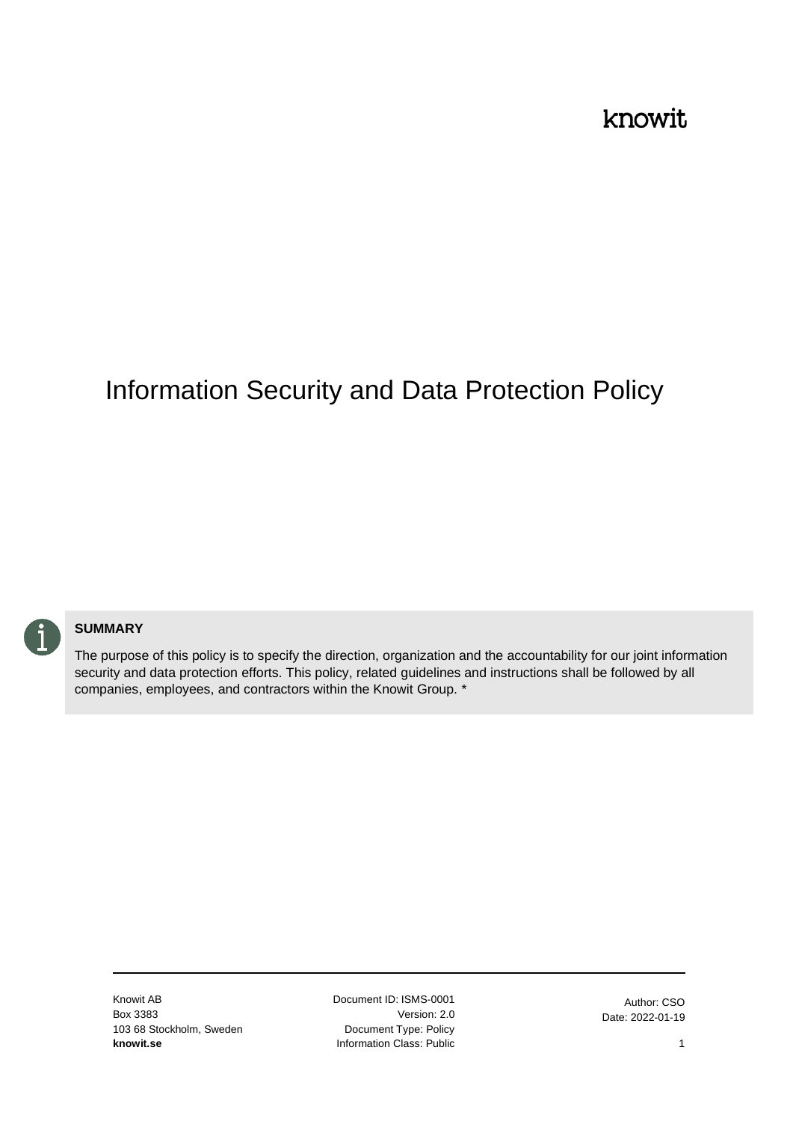#### knowit

# Information Security and Data Protection Policy



#### **SUMMARY**

The purpose of this policy is to specify the direction, organization and the accountability for our joint information security and data protection efforts. This policy, related guidelines and instructions shall be followed by all companies, employees, and contractors within the Knowit Group. \*

Knowit AB Box 3383 103 68 Stockholm, Sweden **knowit.se**

Document ID: ISMS-0001 Version: 2.0 Document Type: Policy Information Class: Public

Author: CSO Date: 2022-01-19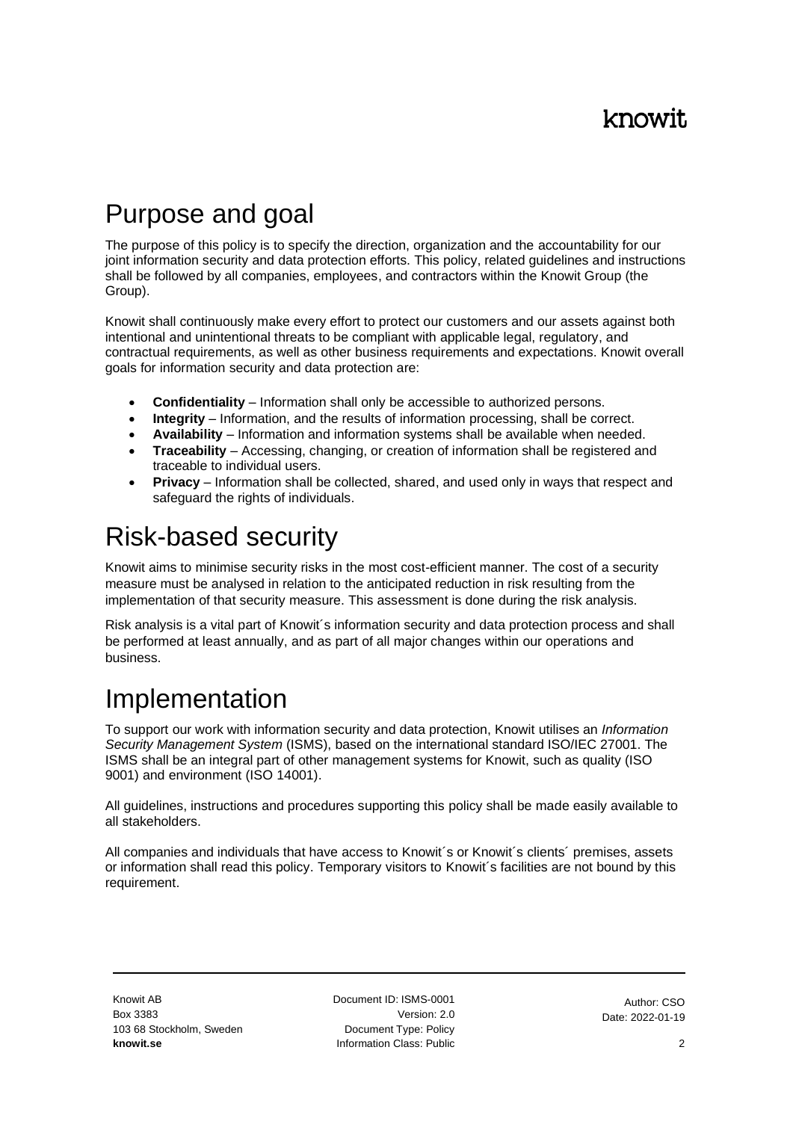## Purpose and goal

The purpose of this policy is to specify the direction, organization and the accountability for our joint information security and data protection efforts. This policy, related guidelines and instructions shall be followed by all companies, employees, and contractors within the Knowit Group (the Group).

Knowit shall continuously make every effort to protect our customers and our assets against both intentional and unintentional threats to be compliant with applicable legal, regulatory, and contractual requirements, as well as other business requirements and expectations. Knowit overall goals for information security and data protection are:

- **Confidentiality** Information shall only be accessible to authorized persons.
- **Integrity** Information, and the results of information processing, shall be correct.
- **Availability** Information and information systems shall be available when needed.
- **Traceability** Accessing, changing, or creation of information shall be registered and traceable to individual users.
- **Privacy** Information shall be collected, shared, and used only in ways that respect and safequard the rights of individuals.

#### Risk-based security

Knowit aims to minimise security risks in the most cost-efficient manner. The cost of a security measure must be analysed in relation to the anticipated reduction in risk resulting from the implementation of that security measure. This assessment is done during the risk analysis.

Risk analysis is a vital part of Knowit´s information security and data protection process and shall be performed at least annually, and as part of all major changes within our operations and business.

# Implementation

To support our work with information security and data protection, Knowit utilises an *Information Security Management System* (ISMS), based on the international standard ISO/IEC 27001. The ISMS shall be an integral part of other management systems for Knowit, such as quality (ISO 9001) and environment (ISO 14001).

All guidelines, instructions and procedures supporting this policy shall be made easily available to all stakeholders.

All companies and individuals that have access to Knowit's or Knowit's clients' premises, assets or information shall read this policy. Temporary visitors to Knowit´s facilities are not bound by this requirement.

Document ID: ISMS-0001 Version: 2.0 Document Type: Policy Information Class: Public

Author: CSO Date: 2022-01-19